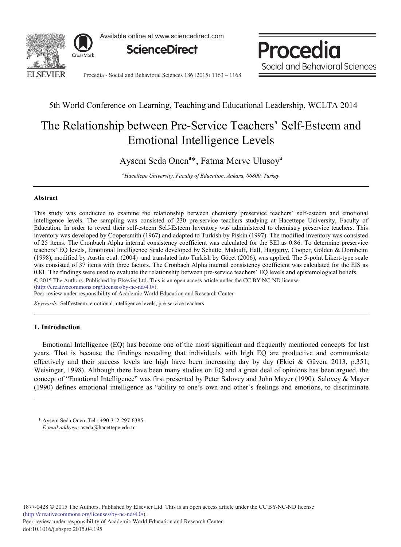

Available online at www.sciencedirect.com



Procedia Social and Behavioral Sciences

Procedia - Social and Behavioral Sciences 186 (2015) 1163 - 1168

# 5th World Conference on Learning, Teaching and Educational Leadership, WCLTA 2014

# The Relationship between Pre-Service Teachers' Self-Esteem and Emotional Intelligence Levels

Aysem Seda Onen<sup>a\*</sup>, Fatma Merve Ulusoy<sup>a</sup>

*a Hacettepe University, Faculty of Education, Ankara, 06800, Turkey* 

# **Abstract**

This study was conducted to examine the relationship between chemistry preservice teachers' self-esteem and emotional intelligence levels. The sampling was consisted of 230 pre-service teachers studying at Hacettepe University, Faculty of Education. In order to reveal their self-esteem Self-Esteem Inventory was administered to chemistry preservice teachers. This inventory was developed by Coopersmith (1967) and adapted to Turkish by Pişkin (1997). The modified inventory was consisted of 25 items. The Cronbach Alpha internal consistency coefficient was calculated for the SEI as 0.86. To determine preservice teachers' EQ levels, Emotional Intelligence Scale developed by Schutte, Malouff, Hall, Haggerty, Cooper, Golden & Dornheim (1998), modified by Austin et.al. (2004) and translated into Turkish by Göçet (2006), was applied. The 5-point Likert-type scale was consisted of 37 items with three factors. The Cronbach Alpha internal consistency coefficient was calculated for the EIS as 0.81. The findings were used to evaluate the relationship between pre-service teachers' EQ levels and epistemological beliefs.

© 2015 The Authors. Published by Elsevier Ltd. © 2015 The Authors. Published by Elsevier Ltd. This is an open access article under the CC BY-NC-ND license

(http://creativecommons.org/licenses/by-nc-nd/4.0/).

Peer-review under responsibility of Academic World Education and Research Center

*Keywords:* Self-esteem, emotional intelligence levels, pre-service teachers

# **1. Introduction**

Emotional Intelligence (EQ) has become one of the most significant and frequently mentioned concepts for last years. That is because the findings revealing that individuals with high EQ are productive and communicate effectively and their success levels are high have been increasing day by day (Ekici & Güven, 2013, p.351; Weisinger, 1998). Although there have been many studies on EQ and a great deal of opinions has been argued, the concept of "Emotional Intelligence" was first presented by Peter Salovey and John Mayer (1990). Salovey & Mayer (1990) defines emotional intelligence as "ability to one's own and other's feelings and emotions, to discriminate

<sup>\*</sup> Aysem Seda Onen. Tel.: +90-312-297-6385. *E-mail address:* aseda@hacettepe.edu.tr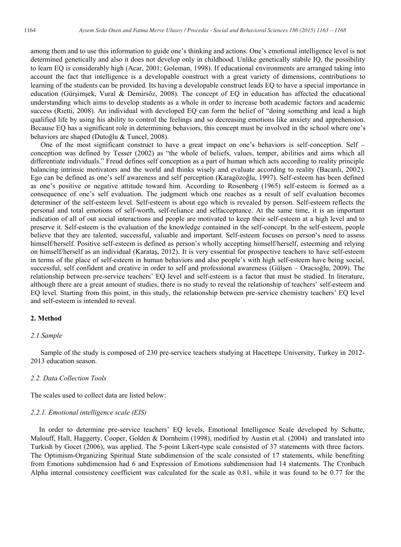among them and to use this information to guide one's thinking and actions. One's emotional intelligence level is not determined genetically and also it does not develop only in childhood. Unlike genetically stabile IQ, the possibility to learn EQ is considerably high (Acar, 2001; Goleman, 1998). If educational environments are arranged taking into account the fact that intelligence is a developable construct with a great variety of dimensions, contributions to learning of the students can be provided. Its having a developable construct leads EQ to have a special importance in education (Gürşimşek, Vural & Demirsöz, 2008). The concept of EQ in education has affected the educational understanding which aims to develop students as a whole in order to increase both academic factors and academic success (Rietti, 2008). An individual with developed EQ can form the belief of "doing something and lead a high qualified life by using his ability to control the feelings and so decreasing emotions like anxiety and apprehension. Because EQ has a significant role in determining behaviors, this concept must be involved in the school where one's behaviors are shaped (Dutoğlu & Tuncel, 2008).

One of the most significant construct to have a great impact on one's behaviors is self-conception. Self – conception was defined by Tesser (2002) as "the whole of beliefs, values, temper, abilities and aims which all differentiate individuals." Freud defines self conception as a part of human which acts according to reality principle balancing intrinsic motivators and the world and thinks wisely and evaluate according to reality (Bacanlı, 2002). Ego can be defined as one's self awareness and self perception (Karagözoğlu, 1997). Self-esteem has been defined as one's positive or negative attitude toward him. According to Rosenberg (1965) self-esteem is formed as a consequence of one's self evaluation. The judgment which one reaches as a result of self evaluation becomes determiner of the self-esteem level. Self-esteem is about ego which is revealed by person. Self-esteem reflects the personal and total emotions of self-worth, self-reliance and selfacceptance. At the same time, it is an important indication of all of out social interactions and people are motivated to keep their self-esteem at a high level and to preserve it. Self-esteem is the evaluation of the knowledge contained in the self-concept. In the self-esteem, people believe that they are talented, successful, valuable and important. Self-esteem focuses on person's need to assess himself/herself. Positive self-esteem is defined as person's wholly accepting himself/herself, esteeming and relying on himself/herself as an individual (Karataş, 2012). It is very essential for prospective teachers to have self-esteem in terms of the place of self-esteem in human behaviors and also people's with high self-esteem have being social, successful, self confident and creative in order to self and professional awareness (Gülşen – Oracıoğlu, 2009). The relationship between pre-service teachers' EQ level and self-esteem is a factor that must be studied. In literature, although there are a great amount of studies, there is no study to reveal the relationship of teachers' self-esteem and EQ level. Starting from this point, in this study, the relationship between pre-service chemistry teachers' EQ level and self-esteem is intended to reveal.

# **2. Method**

# *2.1.Sample*

Sample of the study is composed of 230 pre-service teachers studying at Hacettepe University, Turkey in 2012- 2013 education season.

#### *2.2. Data Collection Tools*

The scales used to collect data are listed below:

#### *2.2.1. Emotional intelligence scale (EIS)*

In order to determine pre-service teachers' EQ levels, Emotional Intelligence Scale developed by Schutte, Malouff, Hall, Haggerty, Cooper, Golden & Dornheim (1998), modified by Austin et.al. (2004) and translated into Turkish by Gocet (2006), was applied. The 5-point Likert-type scale consisted of 37 statements with three factors. The Optimism-Organizing Spiritual State subdimension of the scale consisted of 17 statements, while benefiting from Emotions subdimension had 6 and Expression of Emotions subdimension had 14 statements. The Cronbach Alpha internal consistency coefficient was calculated for the scale as 0.81, while it was found to be 0.77 for the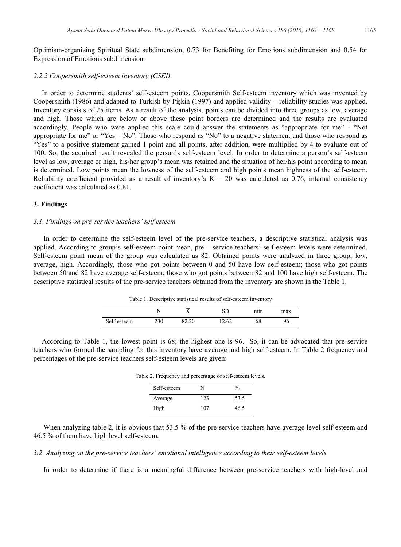Optimism-organizing Spiritual State subdimension, 0.73 for Benefiting for Emotions subdimension and 0.54 for Expression of Emotions subdimension.

#### *2.2.2 Coopersmith self-esteem inventory (CSEI)*

In order to determine students' self-esteem points, Coopersmith Self-esteem inventory which was invented by Coopersmith (1986) and adapted to Turkish by Pişkin (1997) and applied validity – reliability studies was applied. Inventory consists of 25 items. As a result of the analysis, points can be divided into three groups as low, average and high. Those which are below or above these point borders are determined and the results are evaluated accordingly. People who were applied this scale could answer the statements as "appropriate for me" - "Not appropriate for me" or "Yes – No". Those who respond as "No" to a negative statement and those who respond as "Yes" to a positive statement gained 1 point and all points, after addition, were multiplied by 4 to evaluate out of 100. So, the acquired result revealed the person's self-esteem level. In order to determine a person's self-esteem level as low, average or high, his/her group's mean was retained and the situation of her/his point according to mean is determined. Low points mean the lowness of the self-esteem and high points mean highness of the self-esteem. Reliability coefficient provided as a result of inventory's  $K - 20$  was calculated as 0.76, internal consistency coefficient was calculated as 0.81.

#### **3. Findings**

#### *3.1. Findings on pre-service teachers' self esteem*

In order to determine the self-esteem level of the pre-service teachers, a descriptive statistical analysis was applied. According to group's self-esteem point mean, pre – service teachers' self-esteem levels were determined. Self-esteem point mean of the group was calculated as 82. Obtained points were analyzed in three group; low, average, high. Accordingly, those who got points between 0 and 50 have low self-esteem; those who got points between 50 and 82 have average self-esteem; those who got points between 82 and 100 have high self-esteem. The descriptive statistical results of the pre-service teachers obtained from the inventory are shown in the Table 1.

Table 1. Descriptive statistical results of self-esteem inventory

|             |     | _<br>$\Lambda$ |       | mın | max |
|-------------|-----|----------------|-------|-----|-----|
| Self-esteem | 230 | 62.20          | 12.62 | 68  | 96  |

According to Table 1, the lowest point is 68; the highest one is 96. So, it can be advocated that pre-service teachers who formed the sampling for this inventory have average and high self-esteem. In Table 2 frequency and percentages of the pre-service teachers self-esteem levels are given:

| Table 2. Frequency and percentage of self-esteem levels. |     |               |  |
|----------------------------------------------------------|-----|---------------|--|
| Self-esteem                                              | N   | $\frac{0}{n}$ |  |
| Average                                                  | 123 | 53.5          |  |
| High                                                     | 107 | 46.5          |  |

When analyzing table 2, it is obvious that 53.5 % of the pre-service teachers have average level self-esteem and 46.5 % of them have high level self-esteem.

*3.2. Analyzing on the pre-service teachers' emotional intelligence according to their self-esteem levels*

In order to determine if there is a meaningful difference between pre-service teachers with high-level and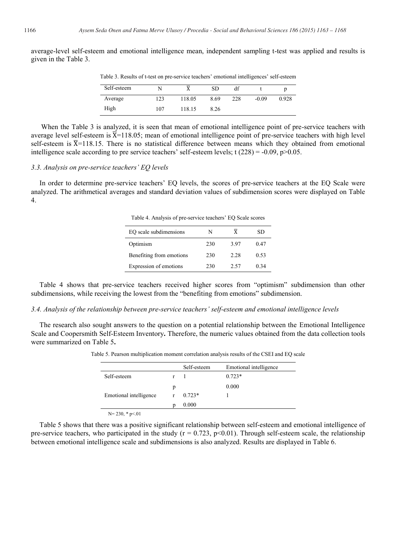average-level self-esteem and emotional intelligence mean, independent sampling t-test was applied and results is given in the Table 3.

| Table 3. Results of t-test on pre-service teachers' emotional intelligences' self-esteem |  |  |  |
|------------------------------------------------------------------------------------------|--|--|--|
|------------------------------------------------------------------------------------------|--|--|--|

| Self-esteem | N   |        | <b>SD</b> | df  |         |       |
|-------------|-----|--------|-----------|-----|---------|-------|
| Average     | 123 | 118.05 | 8.69      | 228 | $-0.09$ | 0.928 |
| High        | 107 | 118.15 | 8.26      |     |         |       |

When the Table 3 is analyzed, it is seen that mean of emotional intelligence point of pre-service teachers with average level self-esteem is  $\overline{X}=118.05$ ; mean of emotional intelligence point of pre-service teachers with high level self-esteem is  $\overline{X}=118.15$ . There is no statistical difference between means which they obtained from emotional intelligence scale according to pre service teachers' self-esteem levels; t  $(228) = -0.09$ ,  $p > 0.05$ .

# *3.3. Analysis on pre-service teachers' EQ levels*

In order to determine pre-service teachers' EQ levels, the scores of pre-service teachers at the EQ Scale were analyzed. The arithmetical averages and standard deviation values of subdimension scores were displayed on Table 4.

Table 4. Analysis of pre-service teachers' EQ Scale scores

| EQ scale subdimensions   | N   |      | SD   |
|--------------------------|-----|------|------|
| Optimism                 | 230 | 3.97 | 0.47 |
| Benefiting from emotions | 230 | 2.28 | 0.53 |
| Expression of emotions   | 230 | 2.57 | 0.34 |

Table 4 shows that pre-service teachers received higher scores from "optimism" subdimension than other subdimensions, while receiving the lowest from the "benefiting from emotions" subdimension.

# *3.4. Analysis of the relationship between pre-service teachers' self-esteem and emotional intelligence levels*

The research also sought answers to the question on a potential relationship between the Emotional Intelligence Scale and Coopersmith Self-Esteem Inventory**.** Therefore, the numeric values obtained from the data collection tools were summarized on Table 5**.** 

|                        |   | Self-esteem | Emotional intelligence |
|------------------------|---|-------------|------------------------|
| Self-esteem            |   |             | $0.723*$               |
|                        | p |             | 0.000                  |
| Emotional intelligence |   | $0.723*$    |                        |
|                        |   | 0.000       |                        |
| $N = 230$ * $n < 01$   |   |             |                        |

Table 5. Pearson multiplication moment correlation analysis results of the CSEI and EQ scale

Table 5 shows that there was a positive significant relationship between self-esteem and emotional intelligence of pre-service teachers, who participated in the study  $(r = 0.723, p < 0.01)$ . Through self-esteem scale, the relationship between emotional intelligence scale and subdimensions is also analyzed. Results are displayed in Table 6.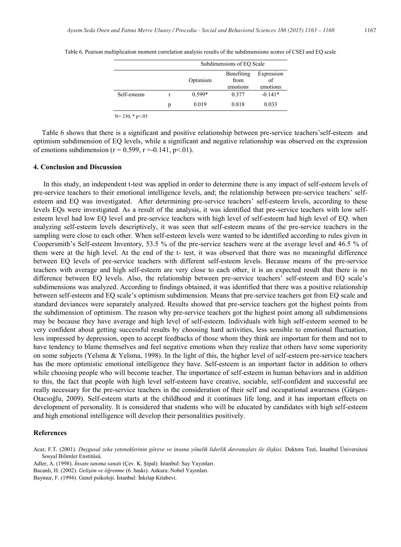|                      |   | Subdimensions of EO Scale |                                |                              |  |
|----------------------|---|---------------------------|--------------------------------|------------------------------|--|
|                      |   | Optimism                  | Benefiting<br>from<br>emotions | Expression<br>of<br>emotions |  |
| Self-esteem          |   | 0.599*                    | 0.377                          | $-0.141*$                    |  |
|                      | p | 0.019                     | 0.818                          | 0.033                        |  |
| $N = 230$ , * p < 05 |   |                           |                                |                              |  |

Table 6. Pearson multiplication moment correlation analysis results of the subdimensions scores of CSEI and EQ scale

Table 6 shows that there is a significant and positive relationship between pre-service teachers'self-esteem and optimism subdimension of EQ levels, while a significant and negative relationship was observed on the expression of emotions subdimension ( $r = 0.599$ ,  $r = -0.141$ ,  $p < 01$ ).

#### **4. Conclusion and Discussion**

In this study, an independent t-test was applied in order to determine there is any impact of self-esteem levels of pre-service teachers to their emotional intelligence levels, and; the relationship between pre-service teachers' selfesteem and EQ was investigated. After determining pre-service teachers' self-esteem levels, according to these levels EQs were investigated. As a result of the analysis, it was identified that pre-service teachers with low selfesteem level had low EQ level and pre-service teachers with high level of self-esteem had high level of EQ. when analyzing self-esteem levels descriptively, it was seen that self-esteem means of the pre-service teachers in the sampling were close to each other. When self-esteem levels were wanted to be identified according to rules given in Coopersmith's Self-esteem Inventory, 53.5 % of the pre-service teachers were at the average level and 46.5 % of them were at the high level. At the end of the t- test, it was observed that there was no meaningful difference between EQ levels of pre-service teachers with different self-esteem levels. Because means of the pre-service teachers with average and high self-esteem are very close to each other, it is an expected result that there is no difference between EQ levels. Also, the relationship between pre-service teachers' self-esteem and EQ scale's subdimensions was analyzed. According to findings obtained, it was identified that there was a positive relationship between self-esteem and EQ scale's optimism subdimension. Means that pre-service teachers got from EQ scale and standard deviances were separately analyzed. Results showed that pre-service teachers got the highest points from the subdimension of optimism. The reason why pre-service teachers got the highest point among all subdimensions may be because they have average and high level of self-esteem. Individuals with high self-esteem seemed to be very confident about getting successful results by choosing hard activities, less sensible to emotional fluctuation, less impressed by depression, open to accept feedbacks of those whom they think are important for them and not to have tendency to blame themselves and feel negative emotions when they realize that others have some superiority on some subjects (Yelsma & Yelsma, 1998). In the light of this, the higher level of self-esteem pre-service teachers has the more optimistic emotional intelligence they have. Self-esteem is an important factor in addition to others while choosing people who will become teacher. The importance of self-esteem in human behaviors and in addition to this, the fact that people with high level self-esteem have creative, sociable, self-confident and successful are really necessary for the pre-service teachers in the consideration of their self and occupational awareness (Gürşen-Otacıoğlu, 2009). Self-esteem starts at the childhood and it continues life long, and it has important effects on development of personality. It is considered that students who will be educated by candidates with high self-esteem and high emotional intelligence will develop their personalities positively.

# **References**

Baymur, F. (1994). Genel psikoloji. İstanbul: İnkılap Kitabevi.

Acar, F.T. (2001). *Duygusal zeka yeteneklerinin göreve ve insana yönelik liderlik davranışları ile ilişkisi.* Doktora Tezi, İstanbul Üniversitesi Sosyal Bilimler Enstitüsü.

Adler, A. (1998). *İnsanı tanıma sanatı* (Çev. K. Şipal). İstanbul: Say Yayınları.

Bacanlı, H. (2002). *Gelişim ve öğrenme* (6. baskı). Ankara:.Nobel Yayınları.